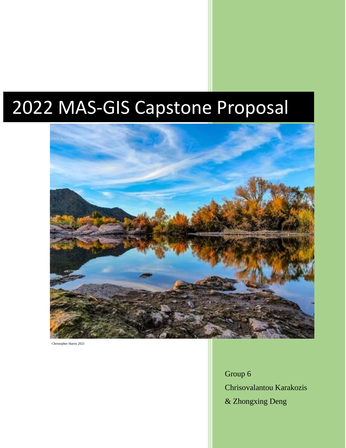# 2022 MAS-GIS Capstone Proposal



Christopher Harris 2021

Group 6 Chrisovalantou Karakozis & Zhongxing Deng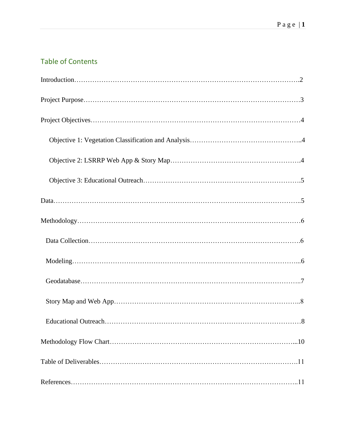# Table of Contents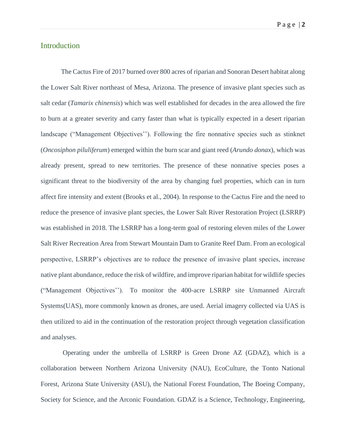## Introduction

The Cactus Fire of 2017 burned over 800 acres of riparian and Sonoran Desert habitat along the Lower Salt River northeast of Mesa, Arizona. The presence of invasive plant species such as salt cedar (*Tamarix chinensis*) which was well established for decades in the area allowed the fire to burn at a greater severity and carry faster than what is typically expected in a desert riparian landscape ("Management Objectives''). Following the fire nonnative species such as stinknet (*Oncosiphon piluliferum*) emerged within the burn scar and giant reed (*Arundo donax*), which was already present, spread to new territories. The presence of these nonnative species poses a significant threat to the biodiversity of the area by changing fuel properties, which can in turn affect fire intensity and extent (Brooks et al., 2004). In response to the Cactus Fire and the need to reduce the presence of invasive plant species, the Lower Salt River Restoration Project (LSRRP) was established in 2018. The LSRRP has a long-term goal of restoring eleven miles of the Lower Salt River Recreation Area from Stewart Mountain Dam to Granite Reef Dam. From an ecological perspective, LSRRP's objectives are to reduce the presence of invasive plant species, increase native plant abundance, reduce the risk of wildfire, and improve riparian habitat for wildlife species ("Management Objectives''). To monitor the 400-acre LSRRP site Unmanned Aircraft Systems(UAS), more commonly known as drones, are used. Aerial imagery collected via UAS is then utilized to aid in the continuation of the restoration project through vegetation classification and analyses.

Operating under the umbrella of LSRRP is Green Drone AZ (GDAZ), which is a collaboration between Northern Arizona University (NAU), EcoCulture, the Tonto National Forest, Arizona State University (ASU), the National Forest Foundation, The Boeing Company, Society for Science, and the Arconic Foundation. GDAZ is a Science, Technology, Engineering,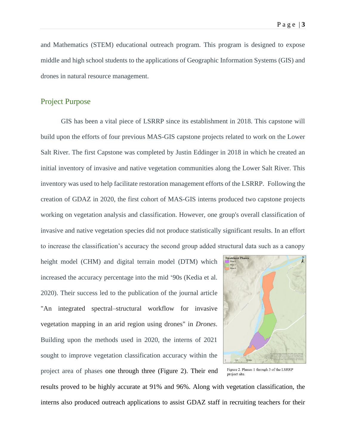and Mathematics (STEM) educational outreach program. This program is designed to expose middle and high school students to the applications of Geographic Information Systems (GIS) and drones in natural resource management.

#### Project Purpose

GIS has been a vital piece of LSRRP since its establishment in 2018. This capstone will build upon the efforts of four previous MAS-GIS capstone projects related to work on the Lower Salt River. The first Capstone was completed by Justin Eddinger in 2018 in which he created an initial inventory of invasive and native vegetation communities along the Lower Salt River. This inventory was used to help facilitate restoration management efforts of the LSRRP. Following the creation of GDAZ in 2020, the first cohort of MAS-GIS interns produced two capstone projects working on vegetation analysis and classification. However, one group's overall classification of invasive and native vegetation species did not produce statistically significant results. In an effort to increase the classification's accuracy the second group added structural data such as a canopy

height model (CHM) and digital terrain model (DTM) which increased the accuracy percentage into the mid '90s (Kedia et al. 2020). Their success led to the publication of the journal article "An integrated spectral–structural workflow for invasive vegetation mapping in an arid region using drones" in *Drones*. Building upon the methods used in 2020, the interns of 2021 sought to improve vegetation classification accuracy within the project area of phases one through three (Figure 2). Their end



Figure 2. Phases 1 through 3 of the LSRRP project site.

results proved to be highly accurate at 91% and 96%. Along with vegetation classification, the interns also produced outreach applications to assist GDAZ staff in recruiting teachers for their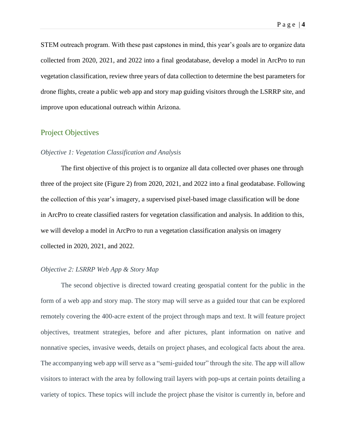STEM outreach program. With these past capstones in mind, this year's goals are to organize data collected from 2020, 2021, and 2022 into a final geodatabase, develop a model in ArcPro to run vegetation classification, review three years of data collection to determine the best parameters for drone flights, create a public web app and story map guiding visitors through the LSRRP site, and improve upon educational outreach within Arizona.

## Project Objectives

#### *Objective 1: Vegetation Classification and Analysis*

The first objective of this project is to organize all data collected over phases one through three of the project site (Figure 2) from 2020, 2021, and 2022 into a final geodatabase. Following the collection of this year's imagery, a supervised pixel-based image classification will be done in ArcPro to create classified rasters for vegetation classification and analysis. In addition to this, we will develop a model in ArcPro to run a vegetation classification analysis on imagery collected in 2020, 2021, and 2022.

#### *Objective 2: LSRRP Web App & Story Map*

The second objective is directed toward creating geospatial content for the public in the form of a web app and story map. The story map will serve as a guided tour that can be explored remotely covering the 400-acre extent of the project through maps and text. It will feature project objectives, treatment strategies, before and after pictures, plant information on native and nonnative species, invasive weeds, details on project phases, and ecological facts about the area. The accompanying web app will serve as a "semi-guided tour" through the site. The app will allow visitors to interact with the area by following trail layers with pop-ups at certain points detailing a variety of topics. These topics will include the project phase the visitor is currently in, before and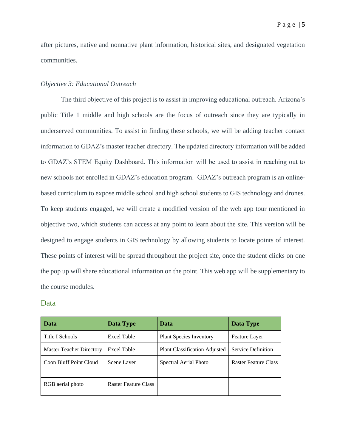after pictures, native and nonnative plant information, historical sites, and designated vegetation communities.

#### *Objective 3: Educational Outreach*

The third objective of this project is to assist in improving educational outreach. Arizona's public Title 1 middle and high schools are the focus of outreach since they are typically in underserved communities. To assist in finding these schools, we will be adding teacher contact information to GDAZ's master teacher directory. The updated directory information will be added to GDAZ's STEM Equity Dashboard. This information will be used to assist in reaching out to new schools not enrolled in GDAZ's education program. GDAZ's outreach program is an onlinebased curriculum to expose middle school and high school students to GIS technology and drones. To keep students engaged, we will create a modified version of the web app tour mentioned in objective two, which students can access at any point to learn about the site. This version will be designed to engage students in GIS technology by allowing students to locate points of interest. These points of interest will be spread throughout the project site, once the student clicks on one the pop up will share educational information on the point. This web app will be supplementary to the course modules.

#### Data

| Data                            | Data Type                   | Data                                 | Data Type                 |
|---------------------------------|-----------------------------|--------------------------------------|---------------------------|
| Title I Schools                 | Excel Table                 | <b>Plant Species Inventory</b>       | <b>Feature Layer</b>      |
| <b>Master Teacher Directory</b> | <b>Excel Table</b>          | <b>Plant Classification Adjusted</b> | <b>Service Definition</b> |
| Coon Bluff Point Cloud          | Scene Layer                 | Spectral Aerial Photo                | Raster Feature Class      |
| RGB aerial photo                | <b>Raster Feature Class</b> |                                      |                           |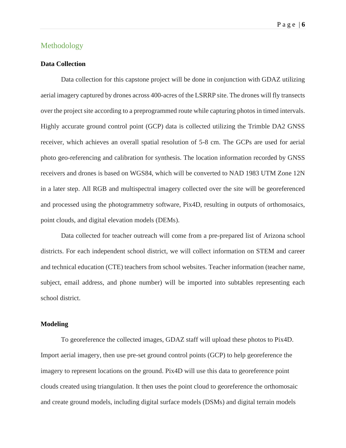## Methodology

#### **Data Collection**

Data collection for this capstone project will be done in conjunction with GDAZ utilizing aerial imagery captured by drones across 400-acres of the LSRRP site. The drones will fly transects over the project site according to a preprogrammed route while capturing photos in timed intervals. Highly accurate ground control point (GCP) data is collected utilizing the Trimble DA2 GNSS receiver, which achieves an overall spatial resolution of 5-8 cm. The GCPs are used for aerial photo geo-referencing and calibration for synthesis. The location information recorded by GNSS receivers and drones is based on WGS84, which will be converted to NAD 1983 UTM Zone 12N in a later step. All RGB and multispectral imagery collected over the site will be georeferenced and processed using the photogrammetry software, Pix4D, resulting in outputs of orthomosaics, point clouds, and digital elevation models (DEMs).

Data collected for teacher outreach will come from a pre-prepared list of Arizona school districts. For each independent school district, we will collect information on STEM and career and technical education (CTE) teachers from school websites. Teacher information (teacher name, subject, email address, and phone number) will be imported into subtables representing each school district.

#### **Modeling**

To georeference the collected images, GDAZ staff will upload these photos to Pix4D. Import aerial imagery, then use pre-set ground control points (GCP) to help georeference the imagery to represent locations on the ground. Pix4D will use this data to georeference point clouds created using triangulation. It then uses the point cloud to georeference the orthomosaic and create ground models, including digital surface models (DSMs) and digital terrain models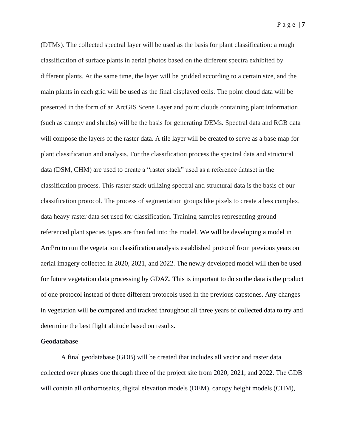(DTMs). The collected spectral layer will be used as the basis for plant classification: a rough classification of surface plants in aerial photos based on the different spectra exhibited by different plants. At the same time, the layer will be gridded according to a certain size, and the main plants in each grid will be used as the final displayed cells. The point cloud data will be presented in the form of an ArcGIS Scene Layer and point clouds containing plant information (such as canopy and shrubs) will be the basis for generating DEMs. Spectral data and RGB data will compose the layers of the raster data. A tile layer will be created to serve as a base map for plant classification and analysis. For the classification process the spectral data and structural data (DSM, CHM) are used to create a "raster stack" used as a reference dataset in the classification process. This raster stack utilizing spectral and structural data is the basis of our classification protocol. The process of segmentation groups like pixels to create a less complex, data heavy raster data set used for classification. Training samples representing ground referenced plant species types are then fed into the model. We will be developing a model in ArcPro to run the vegetation classification analysis established protocol from previous years on aerial imagery collected in 2020, 2021, and 2022. The newly developed model will then be used for future vegetation data processing by GDAZ. This is important to do so the data is the product of one protocol instead of three different protocols used in the previous capstones. Any changes in vegetation will be compared and tracked throughout all three years of collected data to try and determine the best flight altitude based on results.

#### **Geodatabase**

A final geodatabase (GDB) will be created that includes all vector and raster data collected over phases one through three of the project site from 2020, 2021, and 2022. The GDB will contain all orthomosaics, digital elevation models (DEM), canopy height models (CHM),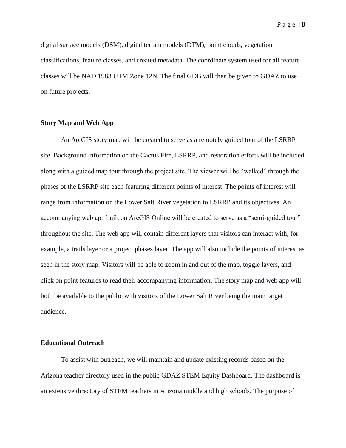P a g e | **8**

digital surface models (DSM), digital terrain models (DTM), point clouds, vegetation classifications, feature classes, and created metadata. The coordinate system used for all feature classes will be NAD 1983 UTM Zone 12N. The final GDB will then be given to GDAZ to use on future projects.

#### **Story Map and Web App**

An ArcGIS story map will be created to serve as a remotely guided tour of the LSRRP site. Background information on the Cactus Fire, LSRRP, and restoration efforts will be included along with a guided map tour through the project site. The viewer will be "walked" through the phases of the LSRRP site each featuring different points of interest. The points of interest will range from information on the Lower Salt River vegetation to LSRRP and its objectives. An accompanying web app built on ArcGIS Online will be created to serve as a "semi-guided tour" throughout the site. The web app will contain different layers that visitors can interact with, for example, a trails layer or a project phases layer. The app will also include the points of interest as seen in the story map. Visitors will be able to zoom in and out of the map, toggle layers, and click on point features to read their accompanying information. The story map and web app will both be available to the public with visitors of the Lower Salt River being the main target audience.

#### **Educational Outreach**

To assist with outreach, we will maintain and update existing records based on the Arizona teacher directory used in the public GDAZ STEM Equity Dashboard. The dashboard is an extensive directory of STEM teachers in Arizona middle and high schools. The purpose of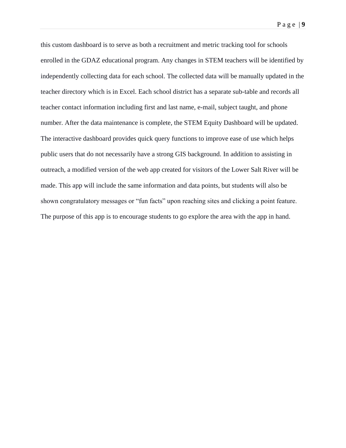P a g e | **9**

this custom dashboard is to serve as both a recruitment and metric tracking tool for schools enrolled in the GDAZ educational program. Any changes in STEM teachers will be identified by independently collecting data for each school. The collected data will be manually updated in the teacher directory which is in Excel. Each school district has a separate sub-table and records all teacher contact information including first and last name, e-mail, subject taught, and phone number. After the data maintenance is complete, the STEM Equity Dashboard will be updated. The interactive dashboard provides quick query functions to improve ease of use which helps public users that do not necessarily have a strong GIS background. In addition to assisting in outreach, a modified version of the web app created for visitors of the Lower Salt River will be made. This app will include the same information and data points, but students will also be shown congratulatory messages or "fun facts" upon reaching sites and clicking a point feature. The purpose of this app is to encourage students to go explore the area with the app in hand.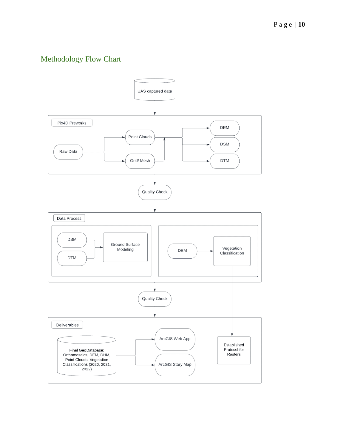# Methodology Flow Chart